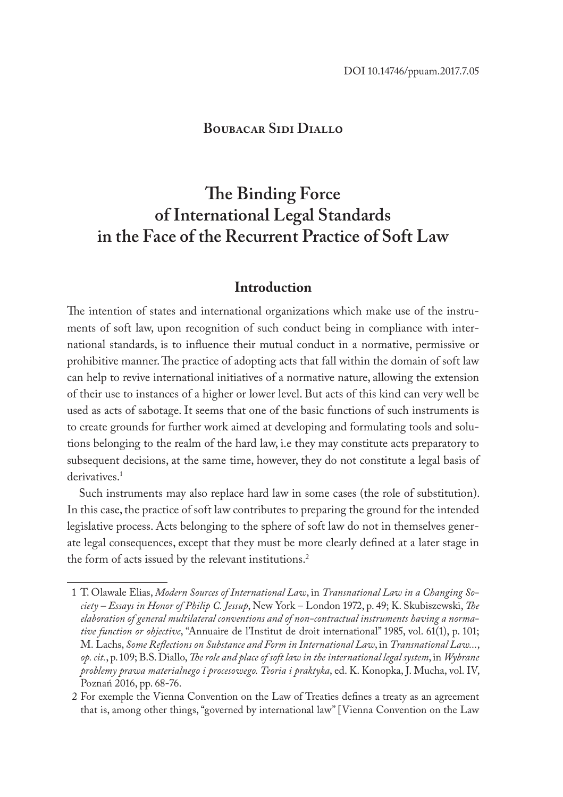### **Boubacar Sidi Diallo**

# **The Binding Force of International Legal Standards in the Face of the Recurrent Practice of Soft Law**

### **Introduction**

The intention of states and international organizations which make use of the instruments of soft law, upon recognition of such conduct being in compliance with international standards, is to influence their mutual conduct in a normative, permissive or prohibitive manner. The practice of adopting acts that fall within the domain of soft law can help to revive international initiatives of a normative nature, allowing the extension of their use to instances of a higher or lower level. But acts of this kind can very well be used as acts of sabotage. It seems that one of the basic functions of such instruments is to create grounds for further work aimed at developing and formulating tools and solutions belonging to the realm of the hard law, i.e they may constitute acts preparatory to subsequent decisions, at the same time, however, they do not constitute a legal basis of derivatives.<sup>1</sup>

Such instruments may also replace hard law in some cases (the role of substitution). In this case, the practice of soft law contributes to preparing the ground for the intended legislative process. Acts belonging to the sphere of soft law do not in themselves generate legal consequences, except that they must be more clearly defined at a later stage in the form of acts issued by the relevant institutions.<sup>2</sup>

<sup>1</sup> T. Olawale Elias, *Modern Sources of International Law*, in *Transnational Law in a Changing Society – Essays in Honor of Philip C. Jessup*, New York – London 1972, p. 49; K. Skubiszewski, *The elaboration of general multilateral conventions and of non-contractual instruments having a normative function or objective*, "Annuaire de l'Institut de droit international" 1985, vol. 61(1), p. 101; M. Lachs, *Some Reflections on Substance and Form in International Law*, in *Transnational Law...*, *op. cit.*, p. 109; B.S. Diallo, *The role and place of soft law in the international legal system*, in *Wybrane problemy prawa materialnego i procesowego. Teoria i praktyka*, ed. K. Konopka, J. Mucha, vol. IV, Poznań 2016, pp. 68-76.

<sup>2</sup> For exemple the Vienna Convention on the Law of Treaties defines a treaty as an agreement that is, among other things, "governed by international law" [Vienna Convention on the Law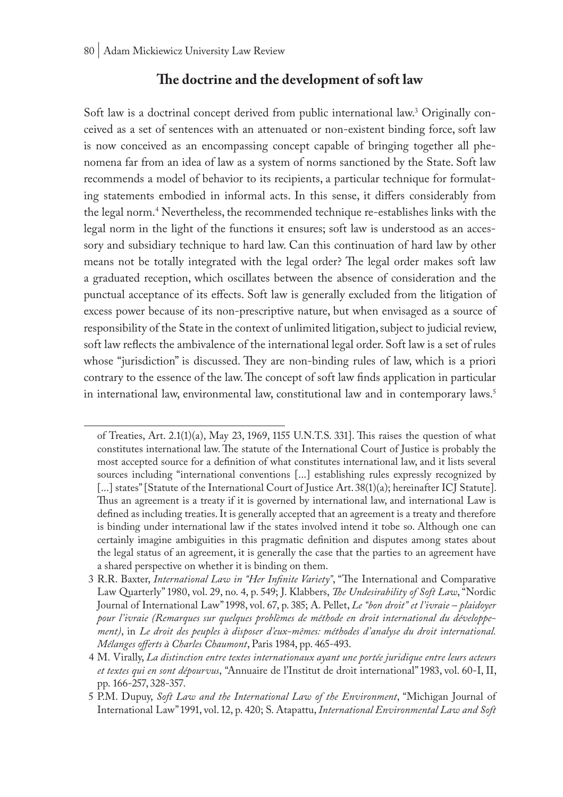### **The doctrine and the development of soft law**

Soft law is a doctrinal concept derived from public international law.<sup>3</sup> Originally conceived as a set of sentences with an attenuated or non-existent binding force, soft law is now conceived as an encompassing concept capable of bringing together all phenomena far from an idea of law as a system of norms sanctioned by the State. Soft law recommends a model of behavior to its recipients, a particular technique for formulating statements embodied in informal acts. In this sense, it differs considerably from the legal norm.4 Nevertheless, the recommended technique re-establishes links with the legal norm in the light of the functions it ensures; soft law is understood as an accessory and subsidiary technique to hard law. Can this continuation of hard law by other means not be totally integrated with the legal order? The legal order makes soft law a graduated reception, which oscillates between the absence of consideration and the punctual acceptance of its effects. Soft law is generally excluded from the litigation of excess power because of its non-prescriptive nature, but when envisaged as a source of responsibility of the State in the context of unlimited litigation, subject to judicial review, soft law reflects the ambivalence of the international legal order. Soft law is a set of rules whose "jurisdiction" is discussed. They are non-binding rules of law, which is a priori contrary to the essence of the law. The concept of soft law finds application in particular in international law, environmental law, constitutional law and in contemporary laws.<sup>5</sup>

of Treaties, Art. 2.1(1)(a), May 23, 1969, 1155 U.N.T.S. 331]. This raises the question of what constitutes international law. The statute of the International Court of Justice is probably the most accepted source for a definition of what constitutes international law, and it lists several sources including "international conventions [...] establishing rules expressly recognized by [...] states" [Statute of the International Court of Justice Art. 38(1)(a); hereinafter ICJ Statute]. Thus an agreement is a treaty if it is governed by international law, and international Law is defined as including treaties. It is generally accepted that an agreement is a treaty and therefore is binding under international law if the states involved intend it tobe so. Although one can certainly imagine ambiguities in this pragmatic definition and disputes among states about the legal status of an agreement, it is generally the case that the parties to an agreement have a shared perspective on whether it is binding on them.

<sup>3</sup> R.R. Baxter, *International Law in "Her Infinite Variety"*, "The International and Comparative Law Quarterly" 1980, vol. 29, no. 4, p. 549; J. Klabbers, *The Undesirability of Soft Law*, "Nordic Journal of International Law" 1998, vol. 67, p. 385; A. Pellet, *Le "bon droit" et l'ivraie – plaidoyer pour l'ivraie (Remarques sur quelques problèmes de méthode en droit international du développement)*, in *Le droit des peuples à disposer d'eux-mêmes: méthodes d'analyse du droit international. Mélanges offerts à Charles Chaumont*, Paris 1984, pp. 465-493.

<sup>4</sup> M. Virally, *La distinction entre textes internationaux ayant une portée juridique entre leurs acteurs et textes qui en sont dépourvus*, "Annuaire de l'Institut de droit international" 1983, vol. 60-I, II, pp. 166-257, 328-357.

<sup>5</sup> P.M. Dupuy, *Soft Law and the International Law of the Environment*, "Michigan Journal of International Law" 1991, vol. 12, p. 420; S. Atapattu, *International Environmental Law and Soft*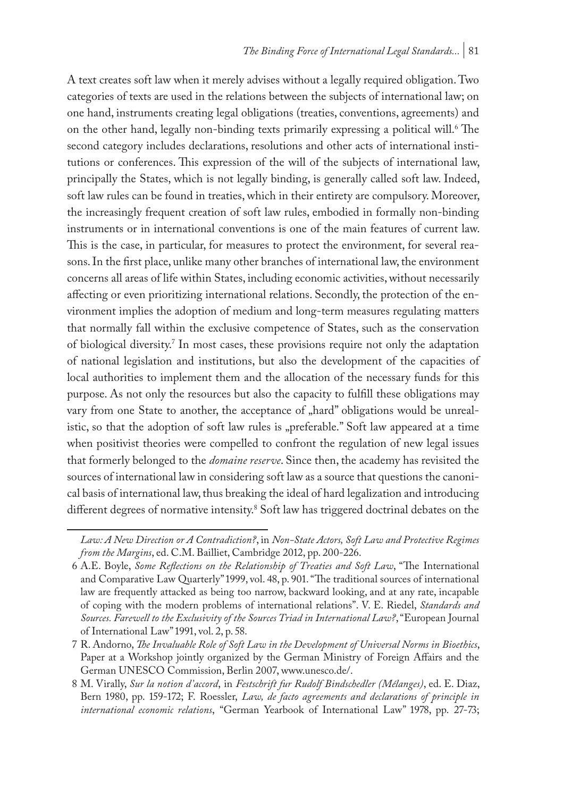A text creates soft law when it merely advises without a legally required obligation. Two categories of texts are used in the relations between the subjects of international law; on one hand, instruments creating legal obligations (treaties, conventions, agreements) and on the other hand, legally non-binding texts primarily expressing a political will.<sup>6</sup> The second category includes declarations, resolutions and other acts of international institutions or conferences. This expression of the will of the subjects of international law, principally the States, which is not legally binding, is generally called soft law. Indeed, soft law rules can be found in treaties, which in their entirety are compulsory. Moreover, the increasingly frequent creation of soft law rules, embodied in formally non-binding instruments or in international conventions is one of the main features of current law. This is the case, in particular, for measures to protect the environment, for several reasons. In the first place, unlike many other branches of international law, the environment concerns all areas of life within States, including economic activities, without necessarily affecting or even prioritizing international relations. Secondly, the protection of the environment implies the adoption of medium and long-term measures regulating matters that normally fall within the exclusive competence of States, such as the conservation of biological diversity.7 In most cases, these provisions require not only the adaptation of national legislation and institutions, but also the development of the capacities of local authorities to implement them and the allocation of the necessary funds for this purpose. As not only the resources but also the capacity to fulfill these obligations may vary from one State to another, the acceptance of "hard" obligations would be unrealistic, so that the adoption of soft law rules is "preferable." Soft law appeared at a time when positivist theories were compelled to confront the regulation of new legal issues that formerly belonged to the *domaine reserve*. Since then, the academy has revisited the sources of international law in considering soft law as a source that questions the canonical basis of international law, thus breaking the ideal of hard legalization and introducing different degrees of normative intensity.8 Soft law has triggered doctrinal debates on the

*Law: A New Direction or A Contradiction?*, in *Non-State Actors, Soft Law and Protective Regimes from the Margins*, ed. C.M. Bailliet, Cambridge 2012, pp. 200-226.

<sup>6</sup> A.E. Boyle, *Some Reflections on the Relationship of Treaties and Soft Law*, "The International and Comparative Law Quarterly" 1999, vol. 48, p. 901. "The traditional sources of international law are frequently attacked as being too narrow, backward looking, and at any rate, incapable of coping with the modern problems of international relations". V. E. Riedel, *Standards and Sources. Farewell to the Exclusivity of the Sources Triad in International Law?*, "European Journal of International Law" 1991, vol. 2, p. 58.

<sup>7</sup> R. Andorno, *The Invaluable Role of Soft Law in the Development of Universal Norms in Bioethics*, Paper at a Workshop jointly organized by the German Ministry of Foreign Affairs and the German UNESCO Commission, Berlin 2007, www.unesco.de/.

<sup>8</sup> M. Virally, *Sur la notion d'accord*, in *Festschrift fur Rudolf Bindschedler (Mélanges)*, ed. E. Diaz, Bern 1980, pp. 159-172; F. Roessler, *Law, de facto agreements and declarations of principle in international economic relations*, "German Yearbook of International Law" 1978, pp. 27-73;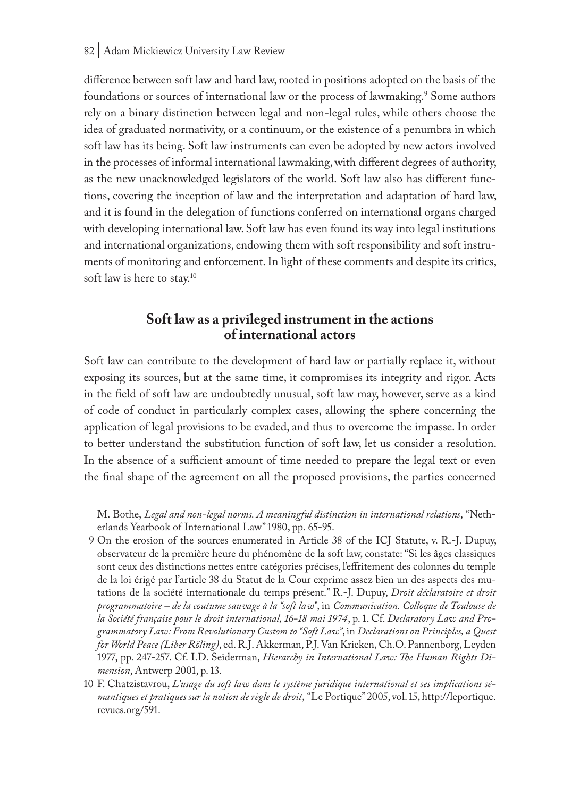difference between soft law and hard law, rooted in positions adopted on the basis of the foundations or sources of international law or the process of lawmaking.<sup>9</sup> Some authors rely on a binary distinction between legal and non-legal rules, while others choose the idea of graduated normativity, or a continuum, or the existence of a penumbra in which soft law has its being. Soft law instruments can even be adopted by new actors involved in the processes of informal international lawmaking, with different degrees of authority, as the new unacknowledged legislators of the world. Soft law also has different functions, covering the inception of law and the interpretation and adaptation of hard law, and it is found in the delegation of functions conferred on international organs charged with developing international law. Soft law has even found its way into legal institutions and international organizations, endowing them with soft responsibility and soft instruments of monitoring and enforcement. In light of these comments and despite its critics, soft law is here to stay.<sup>10</sup>

## **Soft law as a privileged instrument in the actions of international actors**

Soft law can contribute to the development of hard law or partially replace it, without exposing its sources, but at the same time, it compromises its integrity and rigor. Acts in the field of soft law are undoubtedly unusual, soft law may, however, serve as a kind of code of conduct in particularly complex cases, allowing the sphere concerning the application of legal provisions to be evaded, and thus to overcome the impasse. In order to better understand the substitution function of soft law, let us consider a resolution. In the absence of a sufficient amount of time needed to prepare the legal text or even the final shape of the agreement on all the proposed provisions, the parties concerned

M. Bothe, *Legal and non-legal norms. A meaningful distinction in international relations*, "Netherlands Yearbook of International Law" 1980, pp. 65-95.

<sup>9</sup> On the erosion of the sources enumerated in Article 38 of the ICJ Statute, v. R.-J. Dupuy, observateur de la première heure du phénomène de la soft law, constate: "Si les âges classiques sont ceux des distinctions nettes entre catégories précises, l'effritement des colonnes du temple de la loi érigé par l'article 38 du Statut de la Cour exprime assez bien un des aspects des mutations de la société internationale du temps présent." R.-J. Dupuy, *Droit déclaratoire et droit programmatoire – de la coutume sauvage à la "soft law"*, in *Communication. Colloque de Toulouse de la Société française pour le droit international, 16-18 mai 1974*, p. 1. Cf. *Declaratory Law and Programmatory Law: From Revolutionary Custom to "Soft Law"*, in *Declarations on Principles, a Quest for World Peace (Liber Röling)*, ed. R.J. Akkerman, P.J. Van Krieken, Ch.O. Pannenborg, Leyden 1977, pp. 247-257. Cf. I.D. Seiderman, *Hierarchy in International Law: The Human Rights Dimension*, Antwerp 2001, p. 13.

<sup>10</sup> F. Chatzistavrou, *L'usage du soft law dans le système juridique international et ses implications sémantiques et pratiques sur la notion de règle de droit*, "Le Portique" 2005, vol. 15, http://leportique. revues.org/591.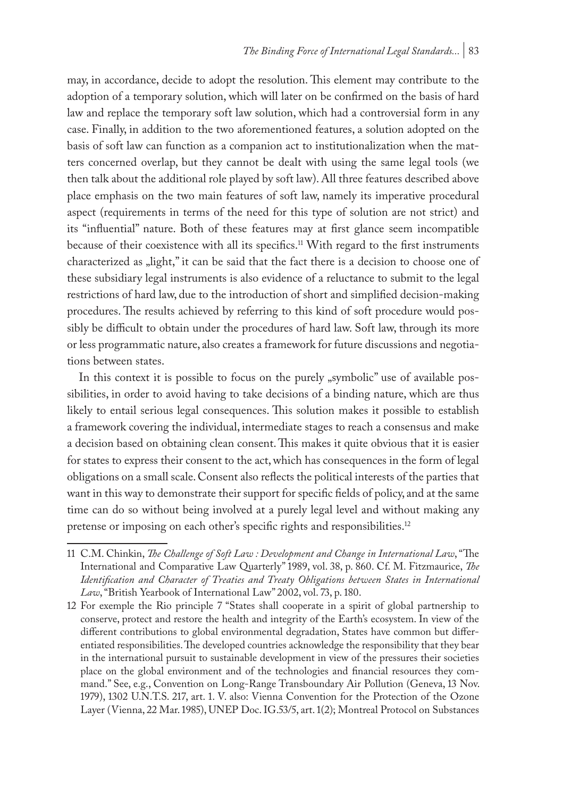may, in accordance, decide to adopt the resolution. This element may contribute to the adoption of a temporary solution, which will later on be confirmed on the basis of hard law and replace the temporary soft law solution, which had a controversial form in any case. Finally, in addition to the two aforementioned features, a solution adopted on the basis of soft law can function as a companion act to institutionalization when the matters concerned overlap, but they cannot be dealt with using the same legal tools (we then talk about the additional role played by soft law). All three features described above place emphasis on the two main features of soft law, namely its imperative procedural aspect (requirements in terms of the need for this type of solution are not strict) and its "influential" nature. Both of these features may at first glance seem incompatible because of their coexistence with all its specifics.11 With regard to the first instruments characterized as "light," it can be said that the fact there is a decision to choose one of these subsidiary legal instruments is also evidence of a reluctance to submit to the legal restrictions of hard law, due to the introduction of short and simplified decision-making procedures. The results achieved by referring to this kind of soft procedure would possibly be difficult to obtain under the procedures of hard law. Soft law, through its more or less programmatic nature, also creates a framework for future discussions and negotiations between states.

In this context it is possible to focus on the purely "symbolic" use of available possibilities, in order to avoid having to take decisions of a binding nature, which are thus likely to entail serious legal consequences. This solution makes it possible to establish a framework covering the individual, intermediate stages to reach a consensus and make a decision based on obtaining clean consent. This makes it quite obvious that it is easier for states to express their consent to the act, which has consequences in the form of legal obligations on a small scale. Consent also reflects the political interests of the parties that want in this way to demonstrate their support for specific fields of policy, and at the same time can do so without being involved at a purely legal level and without making any pretense or imposing on each other's specific rights and responsibilities.<sup>12</sup>

<sup>11</sup> C.M. Chinkin, *The Challenge of Soft Law : Development and Change in International Law*, "The International and Comparative Law Quarterly" 1989, vol. 38, p. 860. Cf. M. Fitzmaurice, *The Identification and Character of Treaties and Treaty Obligations between States in International Law*, "British Yearbook of International Law" 2002, vol. 73, p. 180.

<sup>12</sup> For exemple the Rio principle 7 "States shall cooperate in a spirit of global partnership to conserve, protect and restore the health and integrity of the Earth's ecosystem. In view of the different contributions to global environmental degradation, States have common but differentiated responsibilities. The developed countries acknowledge the responsibility that they bear in the international pursuit to sustainable development in view of the pressures their societies place on the global environment and of the technologies and financial resources they command." See, e.g., Convention on Long-Range Transboundary Air Pollution (Geneva, 13 Nov. 1979), 1302 U.N.T.S. 217, art. 1. V. also: Vienna Convention for the Protection of the Ozone Layer (Vienna, 22 Mar. 1985), UNEP Doc. IG.53/5, art. 1(2); Montreal Protocol on Substances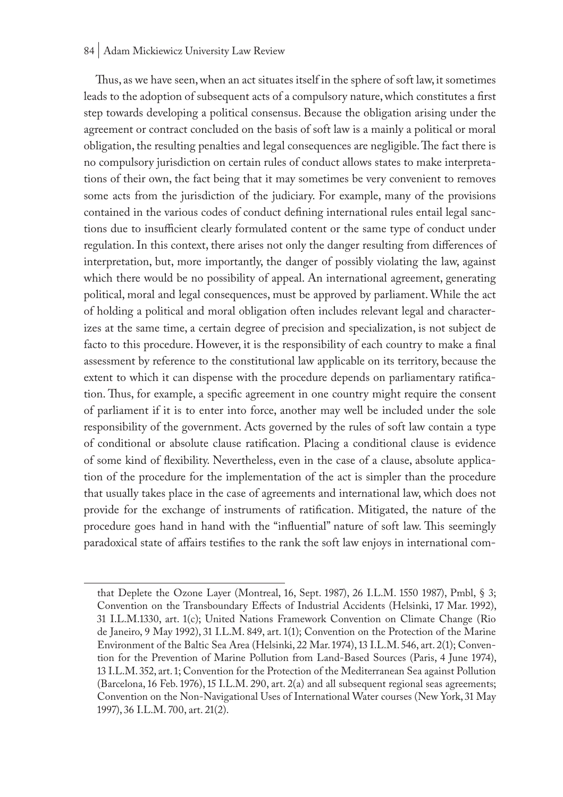#### 84 | Adam Mickiewicz University Law Review

Thus, as we have seen, when an act situates itself in the sphere of soft law, it sometimes leads to the adoption of subsequent acts of a compulsory nature, which constitutes a first step towards developing a political consensus. Because the obligation arising under the agreement or contract concluded on the basis of soft law is a mainly a political or moral obligation, the resulting penalties and legal consequences are negligible. The fact there is no compulsory jurisdiction on certain rules of conduct allows states to make interpretations of their own, the fact being that it may sometimes be very convenient to removes some acts from the jurisdiction of the judiciary. For example, many of the provisions contained in the various codes of conduct defining international rules entail legal sanctions due to insufficient clearly formulated content or the same type of conduct under regulation. In this context, there arises not only the danger resulting from differences of interpretation, but, more importantly, the danger of possibly violating the law, against which there would be no possibility of appeal. An international agreement, generating political, moral and legal consequences, must be approved by parliament. While the act of holding a political and moral obligation often includes relevant legal and characterizes at the same time, a certain degree of precision and specialization, is not subject de facto to this procedure. However, it is the responsibility of each country to make a final assessment by reference to the constitutional law applicable on its territory, because the extent to which it can dispense with the procedure depends on parliamentary ratification. Thus, for example, a specific agreement in one country might require the consent of parliament if it is to enter into force, another may well be included under the sole responsibility of the government. Acts governed by the rules of soft law contain a type of conditional or absolute clause ratification. Placing a conditional clause is evidence of some kind of flexibility. Nevertheless, even in the case of a clause, absolute application of the procedure for the implementation of the act is simpler than the procedure that usually takes place in the case of agreements and international law, which does not provide for the exchange of instruments of ratification. Mitigated, the nature of the procedure goes hand in hand with the "influential" nature of soft law. This seemingly paradoxical state of affairs testifies to the rank the soft law enjoys in international com-

that Deplete the Ozone Layer (Montreal, 16, Sept. 1987), 26 I.L.M. 1550 1987), Pmbl, § 3; Convention on the Transboundary Effects of Industrial Accidents (Helsinki, 17 Mar. 1992), 31 I.L.M.1330, art. 1(c); United Nations Framework Convention on Climate Change (Rio de Janeiro, 9 May 1992), 31 I.L.M. 849, art. 1(1); Convention on the Protection of the Marine Environment of the Baltic Sea Area (Helsinki, 22 Mar. 1974), 13 I.L.M. 546, art. 2(1); Convention for the Prevention of Marine Pollution from Land-Based Sources (Paris, 4 June 1974), 13 I.L.M. 352, art. 1; Convention for the Protection of the Mediterranean Sea against Pollution (Barcelona, 16 Feb. 1976), 15 I.L.M. 290, art. 2(a) and all subsequent regional seas agreements; Convention on the Non-Navigational Uses of International Water courses (New York, 31 May 1997), 36 I.L.M. 700, art. 21(2).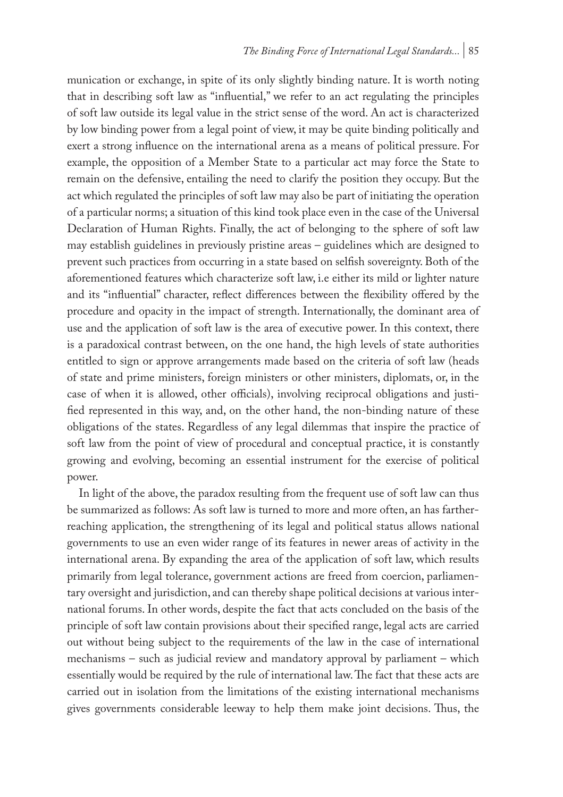munication or exchange, in spite of its only slightly binding nature. It is worth noting that in describing soft law as "influential," we refer to an act regulating the principles of soft law outside its legal value in the strict sense of the word. An act is characterized by low binding power from a legal point of view, it may be quite binding politically and exert a strong influence on the international arena as a means of political pressure. For example, the opposition of a Member State to a particular act may force the State to remain on the defensive, entailing the need to clarify the position they occupy. But the act which regulated the principles of soft law may also be part of initiating the operation of a particular norms; a situation of this kind took place even in the case of the Universal Declaration of Human Rights. Finally, the act of belonging to the sphere of soft law may establish guidelines in previously pristine areas – guidelines which are designed to prevent such practices from occurring in a state based on selfish sovereignty. Both of the aforementioned features which characterize soft law, i.e either its mild or lighter nature and its "influential" character, reflect differences between the flexibility offered by the procedure and opacity in the impact of strength. Internationally, the dominant area of use and the application of soft law is the area of executive power. In this context, there is a paradoxical contrast between, on the one hand, the high levels of state authorities entitled to sign or approve arrangements made based on the criteria of soft law (heads of state and prime ministers, foreign ministers or other ministers, diplomats, or, in the case of when it is allowed, other officials), involving reciprocal obligations and justified represented in this way, and, on the other hand, the non-binding nature of these obligations of the states. Regardless of any legal dilemmas that inspire the practice of soft law from the point of view of procedural and conceptual practice, it is constantly growing and evolving, becoming an essential instrument for the exercise of political power.

In light of the above, the paradox resulting from the frequent use of soft law can thus be summarized as follows: As soft law is turned to more and more often, an has fartherreaching application, the strengthening of its legal and political status allows national governments to use an even wider range of its features in newer areas of activity in the international arena. By expanding the area of the application of soft law, which results primarily from legal tolerance, government actions are freed from coercion, parliamentary oversight and jurisdiction, and can thereby shape political decisions at various international forums. In other words, despite the fact that acts concluded on the basis of the principle of soft law contain provisions about their specified range, legal acts are carried out without being subject to the requirements of the law in the case of international mechanisms – such as judicial review and mandatory approval by parliament – which essentially would be required by the rule of international law. The fact that these acts are carried out in isolation from the limitations of the existing international mechanisms gives governments considerable leeway to help them make joint decisions. Thus, the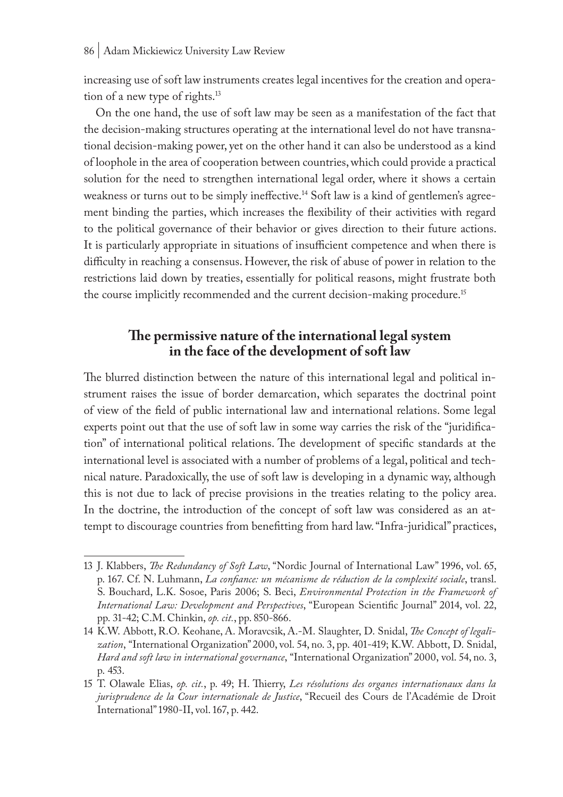increasing use of soft law instruments creates legal incentives for the creation and operation of a new type of rights.13

On the one hand, the use of soft law may be seen as a manifestation of the fact that the decision-making structures operating at the international level do not have transnational decision-making power, yet on the other hand it can also be understood as a kind of loophole in the area of cooperation between countries, which could provide a practical solution for the need to strengthen international legal order, where it shows a certain weakness or turns out to be simply ineffective.<sup>14</sup> Soft law is a kind of gentlemen's agreement binding the parties, which increases the flexibility of their activities with regard to the political governance of their behavior or gives direction to their future actions. It is particularly appropriate in situations of insufficient competence and when there is difficulty in reaching a consensus. However, the risk of abuse of power in relation to the restrictions laid down by treaties, essentially for political reasons, might frustrate both the course implicitly recommended and the current decision-making procedure.<sup>15</sup>

# **The permissive nature of the international legal system in the face of the development of soft law**

The blurred distinction between the nature of this international legal and political instrument raises the issue of border demarcation, which separates the doctrinal point of view of the field of public international law and international relations. Some legal experts point out that the use of soft law in some way carries the risk of the "juridification" of international political relations. The development of specific standards at the international level is associated with a number of problems of a legal, political and technical nature. Paradoxically, the use of soft law is developing in a dynamic way, although this is not due to lack of precise provisions in the treaties relating to the policy area. In the doctrine, the introduction of the concept of soft law was considered as an attempt to discourage countries from benefitting from hard law. "Infra-juridical" practices,

<sup>13</sup> J. Klabbers, *The Redundancy of Soft Law*, "Nordic Journal of International Law" 1996, vol. 65, p. 167. Cf. N. Luhmann, *La confiance: un mécanisme de réduction de la complexité sociale*, transl. S. Bouchard, L.K. Sosoe, Paris 2006; S. Beci, *Environmental Protection in the Framework of International Law: Development and Perspectives*, "European Scientific Journal" 2014, vol. 22, pp. 31-42; C.M. Chinkin, *op. cit.*, pp. 850-866.

<sup>14</sup> K.W. Abbott, R.O. Keohane, A. Moravcsik, A.-M. Slaughter, D. Snidal, *The Concept of legalization*, "International Organization" 2000, vol. 54, no. 3, pp. 401-419; K.W. Abbott, D. Snidal, *Hard and soft law in international governance*, "International Organization" 2000, vol. 54, no. 3, p. 453.

<sup>15</sup> T. Olawale Elias, *op. cit.*, p. 49; H. Thierry, *Les résolutions des organes internationaux dans la jurisprudence de la Cour internationale de Justice*, "Recueil des Cours de l'Académie de Droit International" 1980-II, vol. 167, p. 442.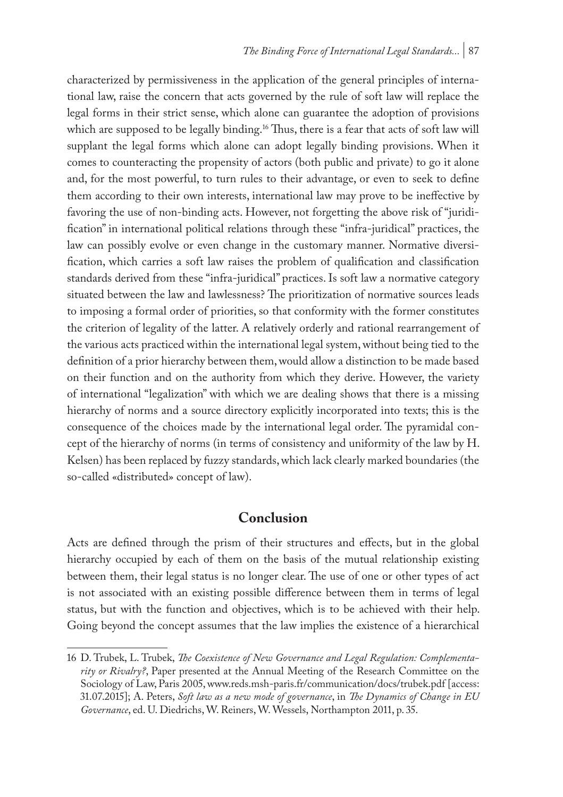characterized by permissiveness in the application of the general principles of international law, raise the concern that acts governed by the rule of soft law will replace the legal forms in their strict sense, which alone can guarantee the adoption of provisions which are supposed to be legally binding.<sup>16</sup> Thus, there is a fear that acts of soft law will supplant the legal forms which alone can adopt legally binding provisions. When it comes to counteracting the propensity of actors (both public and private) to go it alone and, for the most powerful, to turn rules to their advantage, or even to seek to define them according to their own interests, international law may prove to be ineffective by favoring the use of non-binding acts. However, not forgetting the above risk of "juridification" in international political relations through these "infra-juridical" practices, the law can possibly evolve or even change in the customary manner. Normative diversification, which carries a soft law raises the problem of qualification and classification standards derived from these "infra-juridical" practices. Is soft law a normative category situated between the law and lawlessness? The prioritization of normative sources leads to imposing a formal order of priorities, so that conformity with the former constitutes the criterion of legality of the latter. A relatively orderly and rational rearrangement of the various acts practiced within the international legal system, without being tied to the definition of a prior hierarchy between them, would allow a distinction to be made based on their function and on the authority from which they derive. However, the variety of international "legalization" with which we are dealing shows that there is a missing hierarchy of norms and a source directory explicitly incorporated into texts; this is the consequence of the choices made by the international legal order. The pyramidal concept of the hierarchy of norms (in terms of consistency and uniformity of the law by H. Kelsen) has been replaced by fuzzy standards, which lack clearly marked boundaries (the so-called «distributed» concept of law).

### **Conclusion**

Acts are defined through the prism of their structures and effects, but in the global hierarchy occupied by each of them on the basis of the mutual relationship existing between them, their legal status is no longer clear. The use of one or other types of act is not associated with an existing possible difference between them in terms of legal status, but with the function and objectives, which is to be achieved with their help. Going beyond the concept assumes that the law implies the existence of a hierarchical

<sup>16</sup> D. Trubek, L. Trubek, *The Coexistence of New Governance and Legal Regulation: Complementarity or Rivalry?*, Paper presented at the Annual Meeting of the Research Committee on the Sociology of Law, Paris 2005, www.reds.msh-paris.fr/communication/docs/trubek.pdf [access: 31.07.2015]; A. Peters, *Soft law as a new mode of governance*, in *The Dynamics of Change in EU Governance*, ed. U. Diedrichs, W. Reiners, W. Wessels, Northampton 2011, p. 35.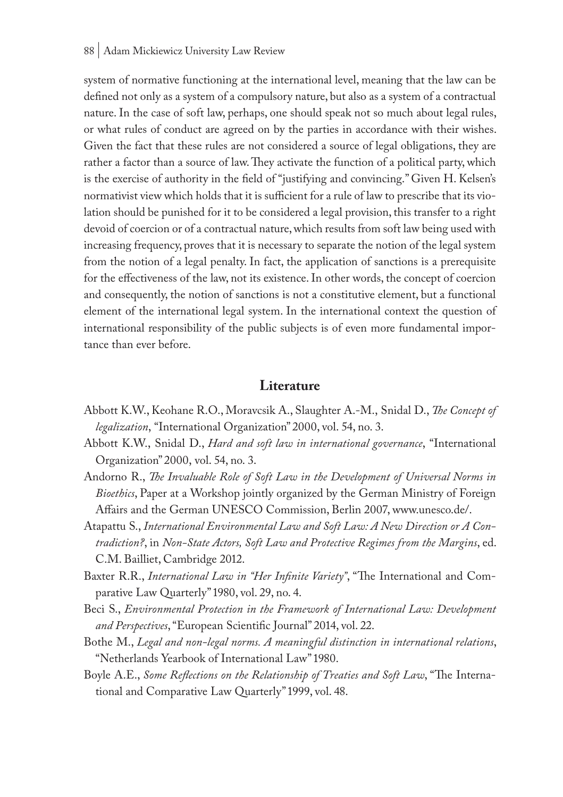system of normative functioning at the international level, meaning that the law can be defined not only as a system of a compulsory nature, but also as a system of a contractual nature. In the case of soft law, perhaps, one should speak not so much about legal rules, or what rules of conduct are agreed on by the parties in accordance with their wishes. Given the fact that these rules are not considered a source of legal obligations, they are rather a factor than a source of law. They activate the function of a political party, which is the exercise of authority in the field of "justifying and convincing." Given H. Kelsen's normativist view which holds that it is sufficient for a rule of law to prescribe that its violation should be punished for it to be considered a legal provision, this transfer to a right devoid of coercion or of a contractual nature, which results from soft law being used with increasing frequency, proves that it is necessary to separate the notion of the legal system from the notion of a legal penalty. In fact, the application of sanctions is a prerequisite for the effectiveness of the law, not its existence. In other words, the concept of coercion and consequently, the notion of sanctions is not a constitutive element, but a functional element of the international legal system. In the international context the question of international responsibility of the public subjects is of even more fundamental importance than ever before.

#### **Literature**

- Abbott K.W., Keohane R.O., Moravcsik A., Slaughter A.-M., Snidal D., *The Concept of legalization*, "International Organization" 2000, vol. 54, no. 3.
- Abbott K.W., Snidal D., *Hard and soft law in international governance*, "International Organization" 2000, vol. 54, no. 3.
- Andorno R., *The Invaluable Role of Soft Law in the Development of Universal Norms in Bioethics*, Paper at a Workshop jointly organized by the German Ministry of Foreign Affairs and the German UNESCO Commission, Berlin 2007, www.unesco.de/.
- Atapattu S., *International Environmental Law and Soft Law: A New Direction or A Contradiction?*, in *Non-State Actors, Soft Law and Protective Regimes from the Margins*, ed. C.M. Bailliet, Cambridge 2012.
- Baxter R.R., *International Law in "Her Infinite Variety"*, "The International and Comparative Law Quarterly" 1980, vol. 29, no. 4.
- Beci S., *Environmental Protection in the Framework of International Law: Development and Perspectives*, "European Scientific Journal" 2014, vol. 22.
- Bothe M., *Legal and non-legal norms. A meaningful distinction in international relations*, "Netherlands Yearbook of International Law" 1980.
- Boyle A.E., *Some Reflections on the Relationship of Treaties and Soft Law*, "The International and Comparative Law Quarterly" 1999, vol. 48.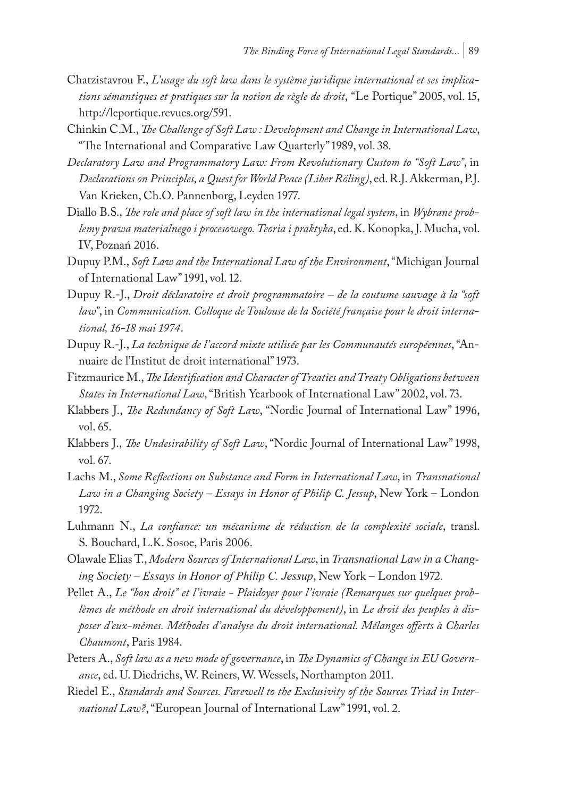- Chatzistavrou F., *L'usage du soft law dans le système juridique international et ses implications sémantiques et pratiques sur la notion de règle de droit*, "Le Portique" 2005, vol. 15, http://leportique.revues.org/591.
- Chinkin C.M., *The Challenge of Soft Law : Development and Change in International Law*, "The International and Comparative Law Quarterly" 1989, vol. 38.
- *Declaratory Law and Programmatory Law: From Revolutionary Custom to "Soft Law"*, in *Declarations on Principles, a Quest for World Peace (Liber Röling)*, ed. R.J. Akkerman, P.J. Van Krieken, Ch.O. Pannenborg, Leyden 1977.
- Diallo B.S., *The role and place of soft law in the international legal system*, in *Wybrane problemy prawa materialnego i procesowego. Teoria i praktyka*, ed. K. Konopka, J. Mucha, vol. IV, Poznań 2016.
- Dupuy P.M., *Soft Law and the International Law of the Environment*, "Michigan Journal of International Law" 1991, vol. 12.
- Dupuy R.-J., *Droit déclaratoire et droit programmatoire de la coutume sauvage à la "soft law"*, in *Communication. Colloque de Toulouse de la Société française pour le droit international, 16-18 mai 1974*.
- Dupuy R.-J., *La technique de l'accord mixte utilisée par les Communautés européennes*, "Annuaire de l'Institut de droit international" 1973.
- Fitzmaurice M., *The Identification and Character of Treaties and Treaty Obligations between States in International Law*, "British Yearbook of International Law" 2002, vol. 73.
- Klabbers J., *The Redundancy of Soft Law*, "Nordic Journal of International Law" 1996, vol. 65.
- Klabbers J., *The Undesirability of Soft Law*, "Nordic Journal of International Law" 1998, vol. 67.
- Lachs M., *Some Reflections on Substance and Form in International Law*, in *Transnational Law in a Changing Society – Essays in Honor of Philip C. Jessup*, New York – London 1972.
- Luhmann N., *La confiance: un mécanisme de réduction de la complexité sociale*, transl. S. Bouchard, L.K. Sosoe, Paris 2006.
- Olawale Elias T., *Modern Sources of International Law*, in *Transnational Law in a Changing Society – Essays in Honor of Philip C. Jessup*, New York – London 1972.
- Pellet A., *Le "bon droit" et l'ivraie Plaidoyer pour l'ivraie (Remarques sur quelques problèmes de méthode en droit international du développement)*, in *Le droit des peuples à disposer d'eux-mêmes. Méthodes d'analyse du droit international. Mélanges offerts à Charles Chaumont*, Paris 1984.
- Peters A., *Soft law as a new mode of governance*, in *The Dynamics of Change in EU Governance*, ed. U. Diedrichs, W. Reiners, W. Wessels, Northampton 2011.
- Riedel E., *Standards and Sources. Farewell to the Exclusivity of the Sources Triad in International Law?*, "European Journal of International Law" 1991, vol. 2.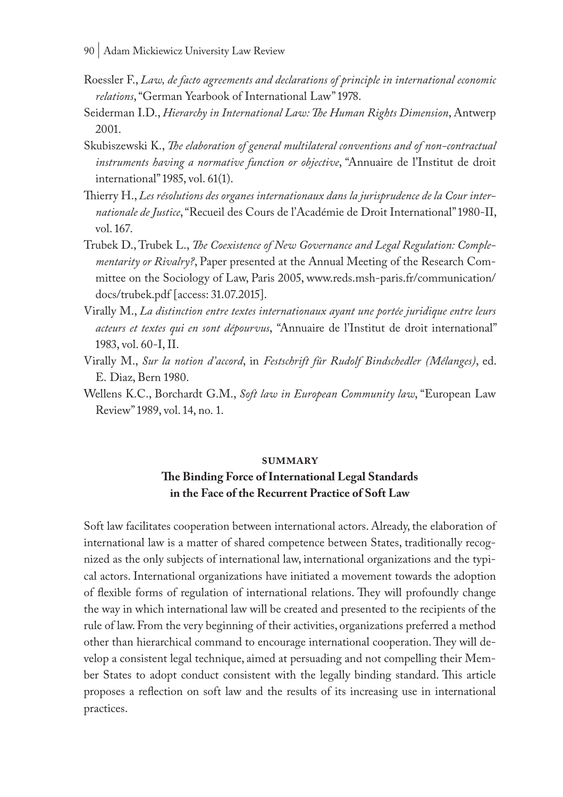- 90 | Adam Mickiewicz University Law Review
- Roessler F., *Law, de facto agreements and declarations of principle in international economic relations*, "German Yearbook of International Law" 1978.
- Seiderman I.D., *Hierarchy in International Law: The Human Rights Dimension*, Antwerp 2001.
- Skubiszewski K., *The elaboration of general multilateral conventions and of non-contractual instruments having a normative function or objective*, "Annuaire de l'Institut de droit international" 1985, vol. 61(1).
- Thierry H., *Les résolutions des organes internationaux dans la jurisprudence de la Cour internationale de Justice*, "Recueil des Cours de l'Académie de Droit International" 1980-II, vol. 167.
- Trubek D., Trubek L., *The Coexistence of New Governance and Legal Regulation: Complementarity or Rivalry?*, Paper presented at the Annual Meeting of the Research Committee on the Sociology of Law, Paris 2005, www.reds.msh-paris.fr/communication/ docs/trubek.pdf [access: 31.07.2015].
- Virally M., *La distinction entre textes internationaux ayant une portée juridique entre leurs acteurs et textes qui en sont dépourvus*, "Annuaire de l'Institut de droit international" 1983, vol. 60-I, II.
- Virally M., *Sur la notion d'accord*, in *Festschrift fûr Rudolf Bindschedler (Mélanges)*, ed. E. Diaz, Bern 1980.
- Wellens K.C., Borchardt G.M., *Soft law in European Community law*, "European Law Review" 1989, vol. 14, no. 1.

#### **summary**

### **The Binding Force of International Legal Standards in the Face of the Recurrent Practice of Soft Law**

Soft law facilitates cooperation between international actors. Already, the elaboration of international law is a matter of shared competence between States, traditionally recognized as the only subjects of international law, international organizations and the typical actors. International organizations have initiated a movement towards the adoption of flexible forms of regulation of international relations. They will profoundly change the way in which international law will be created and presented to the recipients of the rule of law. From the very beginning of their activities, organizations preferred a method other than hierarchical command to encourage international cooperation. They will develop a consistent legal technique, aimed at persuading and not compelling their Member States to adopt conduct consistent with the legally binding standard. This article proposes a reflection on soft law and the results of its increasing use in international practices.